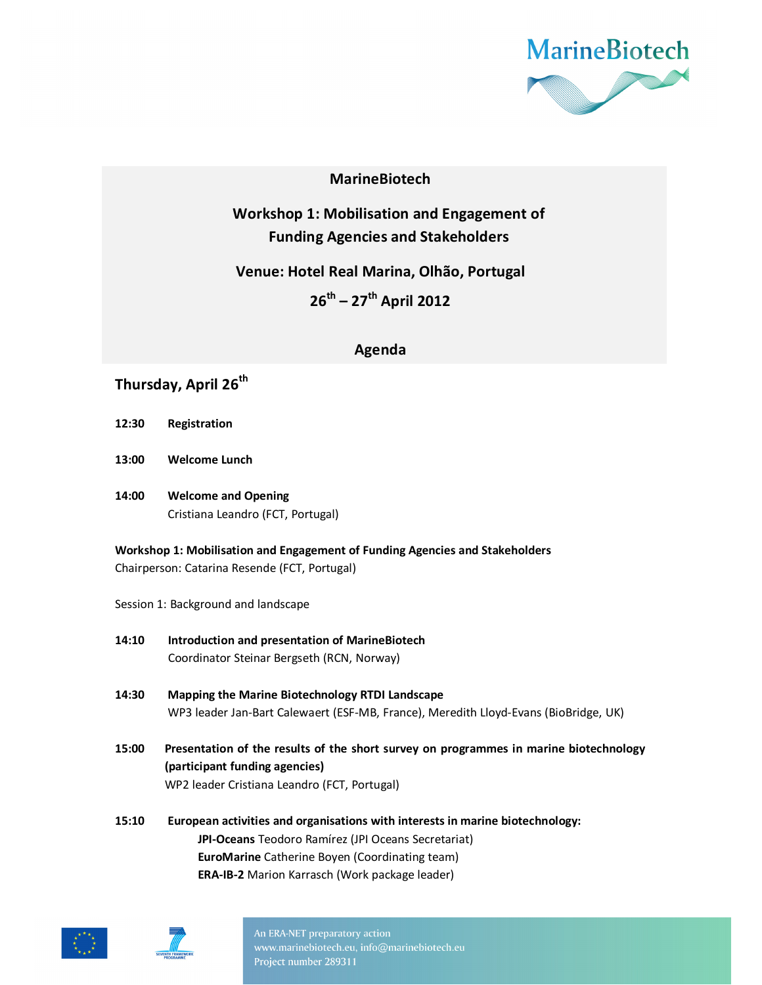

### **MarineBiotech**

**Workshop 1: Mobilisation and Engagement of Funding Agencies and Stakeholders** 

**Venue: Hotel Real Marina, Olhão, Portugal** 

**26th – 27th April 2012** 

### **Agenda**

# **Thursday, April 26th**

- **12:30 Registration**
- **13:00 Welcome Lunch**
- **14:00 Welcome and Opening**  Cristiana Leandro (FCT, Portugal)

**Workshop 1: Mobilisation and Engagement of Funding Agencies and Stakeholders**  Chairperson: Catarina Resende (FCT, Portugal)

Session 1: Background and landscape

- **14:10 Introduction and presentation of MarineBiotech** Coordinator Steinar Bergseth (RCN, Norway)
- **14:30 Mapping the Marine Biotechnology RTDI Landscape**  WP3 leader Jan-Bart Calewaert (ESF-MB, France), Meredith Lloyd-Evans (BioBridge, UK)
- **15:00 Presentation of the results of the short survey on programmes in marine biotechnology (participant funding agencies)**  WP2 leader Cristiana Leandro (FCT, Portugal)
- **15:10 European activities and organisations with interests in marine biotechnology: JPI-Oceans** Teodoro Ramírez (JPI Oceans Secretariat)  **EuroMarine** Catherine Boyen (Coordinating team)  **ERA-IB-2** Marion Karrasch (Work package leader)





An ERA-NET preparatory action www.marinebiotech.eu, info@marinebiotech.eu Project number 289311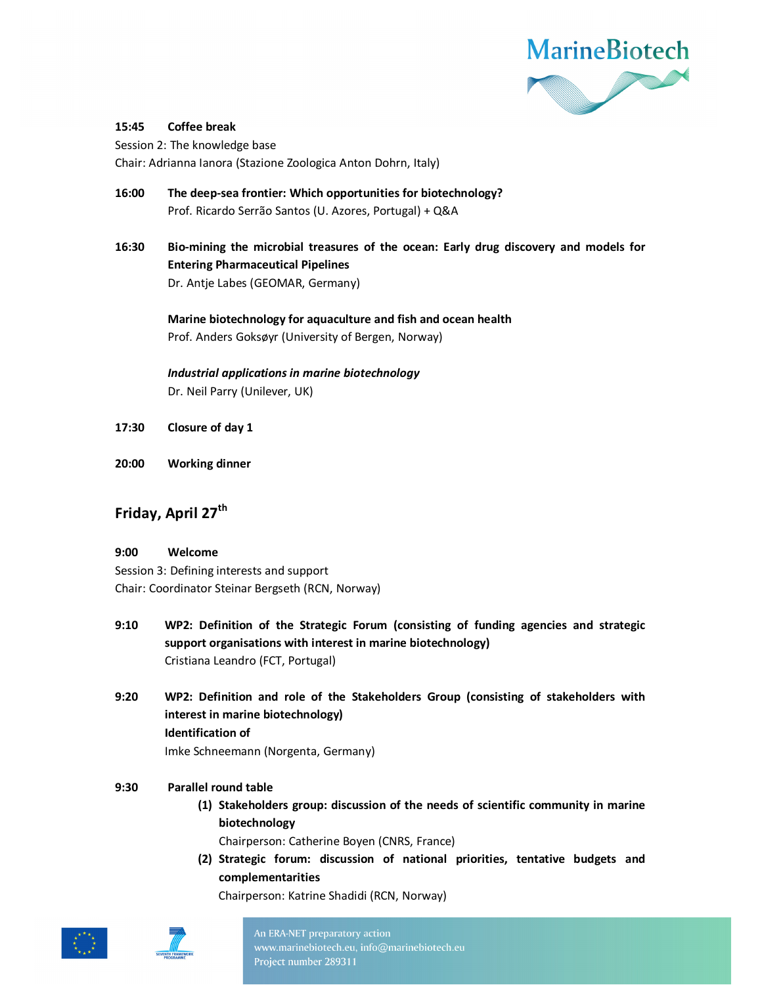

#### **15:45 Coffee break**

Session 2: The knowledge base

Chair: Adrianna Ianora (Stazione Zoologica Anton Dohrn, Italy)

- **16:00 The deep-sea frontier: Which opportunities for biotechnology?**  Prof. Ricardo Serrão Santos (U. Azores, Portugal) + Q&A
- **16:30 Bio-mining the microbial treasures of the ocean: Early drug discovery and models for Entering Pharmaceutical Pipelines**  Dr. Antje Labes (GEOMAR, Germany)

 **Marine biotechnology for aquaculture and fish and ocean health**  Prof. Anders Goksøyr (University of Bergen, Norway)

*Industrial applications in marine biotechnology*  Dr. Neil Parry (Unilever, UK)

- **17:30 Closure of day 1**
- **20:00 Working dinner**

## **Friday, April 27th**

#### **9:00 Welcome**

Session 3: Defining interests and support Chair: Coordinator Steinar Bergseth (RCN, Norway)

- **9:10 WP2: Definition of the Strategic Forum (consisting of funding agencies and strategic support organisations with interest in marine biotechnology)**  Cristiana Leandro (FCT, Portugal)
- **9:20 WP2: Definition and role of the Stakeholders Group (consisting of stakeholders with interest in marine biotechnology) Identification of**  Imke Schneemann (Norgenta, Germany)

#### **9:30 Parallel round table**

**(1) Stakeholders group: discussion of the needs of scientific community in marine biotechnology** 

Chairperson: Catherine Boyen (CNRS, France)

**(2) Strategic forum: discussion of national priorities, tentative budgets and complementarities** 

Chairperson: Katrine Shadidi (RCN, Norway)